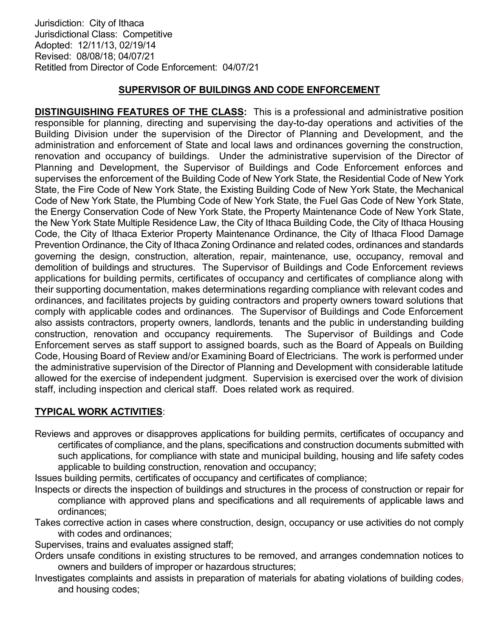Jurisdiction: City of Ithaca Jurisdictional Class: Competitive Adopted: 12/11/13, 02/19/14 Revised: 08/08/18; 04/07/21 Retitled from Director of Code Enforcement: 04/07/21

## SUPERVISOR OF BUILDINGS AND CODE ENFORCEMENT

DISTINGUISHING FEATURES OF THE CLASS: This is a professional and administrative position responsible for planning, directing and supervising the day-to-day operations and activities of the Building Division under the supervision of the Director of Planning and Development, and the administration and enforcement of State and local laws and ordinances governing the construction, renovation and occupancy of buildings. Under the administrative supervision of the Director of Planning and Development, the Supervisor of Buildings and Code Enforcement enforces and supervises the enforcement of the Building Code of New York State, the Residential Code of New York State, the Fire Code of New York State, the Existing Building Code of New York State, the Mechanical Code of New York State, the Plumbing Code of New York State, the Fuel Gas Code of New York State, the Energy Conservation Code of New York State, the Property Maintenance Code of New York State, the New York State Multiple Residence Law, the City of Ithaca Building Code, the City of Ithaca Housing Code, the City of Ithaca Exterior Property Maintenance Ordinance, the City of Ithaca Flood Damage Prevention Ordinance, the City of Ithaca Zoning Ordinance and related codes, ordinances and standards governing the design, construction, alteration, repair, maintenance, use, occupancy, removal and demolition of buildings and structures. The Supervisor of Buildings and Code Enforcement reviews applications for building permits, certificates of occupancy and certificates of compliance along with their supporting documentation, makes determinations regarding compliance with relevant codes and ordinances, and facilitates projects by guiding contractors and property owners toward solutions that comply with applicable codes and ordinances. The Supervisor of Buildings and Code Enforcement also assists contractors, property owners, landlords, tenants and the public in understanding building construction, renovation and occupancy requirements. The Supervisor of Buildings and Code Enforcement serves as staff support to assigned boards, such as the Board of Appeals on Building Code, Housing Board of Review and/or Examining Board of Electricians. The work is performed under the administrative supervision of the Director of Planning and Development with considerable latitude allowed for the exercise of independent judgment. Supervision is exercised over the work of division staff, including inspection and clerical staff. Does related work as required.

## TYPICAL WORK ACTIVITIES:

Reviews and approves or disapproves applications for building permits, certificates of occupancy and certificates of compliance, and the plans, specifications and construction documents submitted with such applications, for compliance with state and municipal building, housing and life safety codes applicable to building construction, renovation and occupancy;

Issues building permits, certificates of occupancy and certificates of compliance;

- Inspects or directs the inspection of buildings and structures in the process of construction or repair for compliance with approved plans and specifications and all requirements of applicable laws and ordinances;
- Takes corrective action in cases where construction, design, occupancy or use activities do not comply with codes and ordinances;

Supervises, trains and evaluates assigned staff;

- Orders unsafe conditions in existing structures to be removed, and arranges condemnation notices to owners and builders of improper or hazardous structures;
- Investigates complaints and assists in preparation of materials for abating violations of building codes, and housing codes;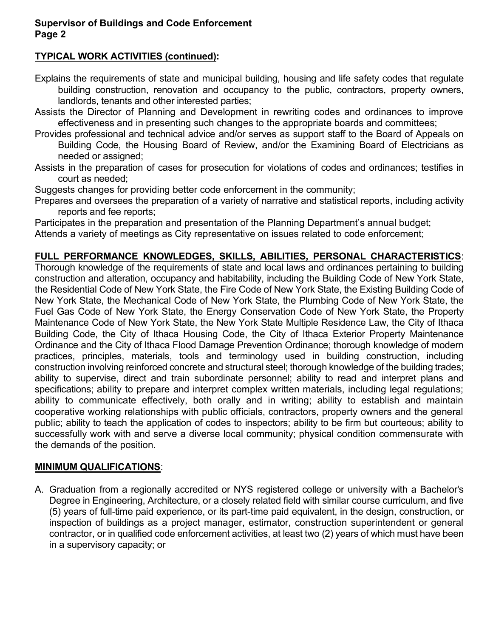#### Supervisor of Buildings and Code Enforcement Page 2

# TYPICAL WORK ACTIVITIES (continued):

- Explains the requirements of state and municipal building, housing and life safety codes that regulate building construction, renovation and occupancy to the public, contractors, property owners, landlords, tenants and other interested parties;
- Assists the Director of Planning and Development in rewriting codes and ordinances to improve effectiveness and in presenting such changes to the appropriate boards and committees;
- Provides professional and technical advice and/or serves as support staff to the Board of Appeals on Building Code, the Housing Board of Review, and/or the Examining Board of Electricians as needed or assigned;
- Assists in the preparation of cases for prosecution for violations of codes and ordinances; testifies in court as needed;
- Suggests changes for providing better code enforcement in the community;
- Prepares and oversees the preparation of a variety of narrative and statistical reports, including activity reports and fee reports;

Participates in the preparation and presentation of the Planning Department's annual budget; Attends a variety of meetings as City representative on issues related to code enforcement;

## FULL PERFORMANCE KNOWLEDGES, SKILLS, ABILITIES, PERSONAL CHARACTERISTICS:

Thorough knowledge of the requirements of state and local laws and ordinances pertaining to building construction and alteration, occupancy and habitability, including the Building Code of New York State, the Residential Code of New York State, the Fire Code of New York State, the Existing Building Code of New York State, the Mechanical Code of New York State, the Plumbing Code of New York State, the Fuel Gas Code of New York State, the Energy Conservation Code of New York State, the Property Maintenance Code of New York State, the New York State Multiple Residence Law, the City of Ithaca Building Code, the City of Ithaca Housing Code, the City of Ithaca Exterior Property Maintenance Ordinance and the City of Ithaca Flood Damage Prevention Ordinance; thorough knowledge of modern practices, principles, materials, tools and terminology used in building construction, including construction involving reinforced concrete and structural steel; thorough knowledge of the building trades; ability to supervise, direct and train subordinate personnel; ability to read and interpret plans and specifications; ability to prepare and interpret complex written materials, including legal regulations; ability to communicate effectively, both orally and in writing; ability to establish and maintain cooperative working relationships with public officials, contractors, property owners and the general public; ability to teach the application of codes to inspectors; ability to be firm but courteous; ability to successfully work with and serve a diverse local community; physical condition commensurate with the demands of the position.

#### MINIMUM QUALIFICATIONS:

A. Graduation from a regionally accredited or NYS registered college or university with a Bachelor's Degree in Engineering, Architecture, or a closely related field with similar course curriculum, and five (5) years of full-time paid experience, or its part-time paid equivalent, in the design, construction, or inspection of buildings as a project manager, estimator, construction superintendent or general contractor, or in qualified code enforcement activities, at least two (2) years of which must have been in a supervisory capacity; or